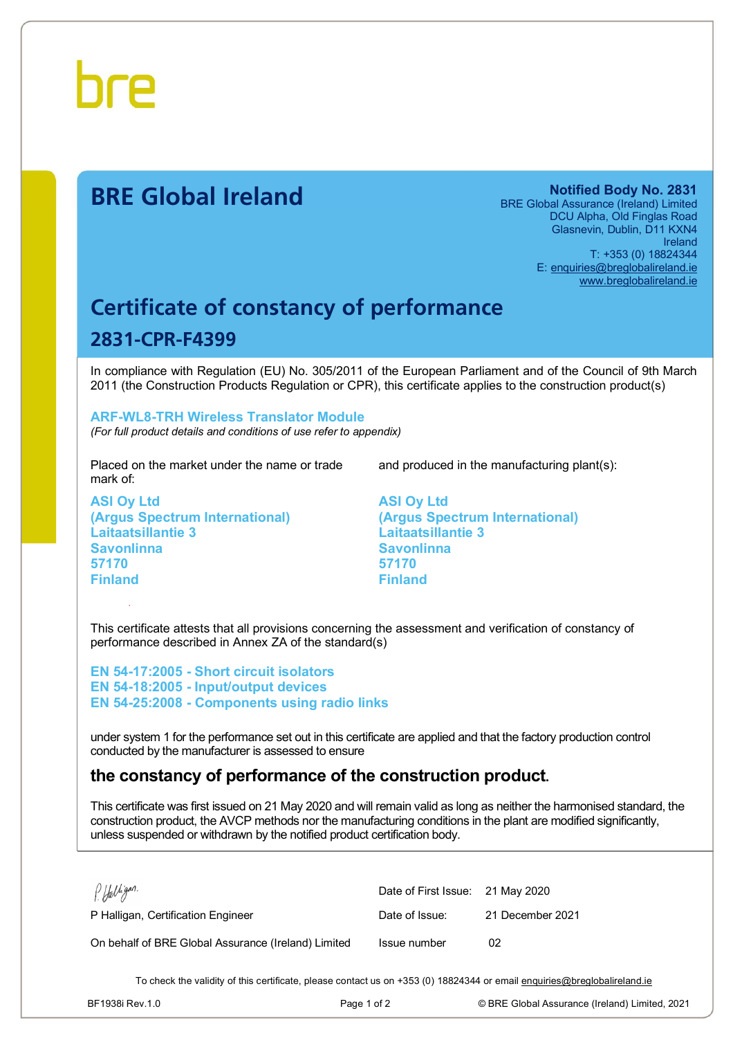

# **BRE Global Ireland Notified Body No. 2831**

BRE Global Assurance (Ireland) Limited DCU Alpha, Old Finglas Road Glasnevin, Dublin, D11 KXN4 Ireland T: +353 (0) 18824344 E: [enquiries@breglobalireland.ie](mailto:enquiries@breglobalireland.ie) [www.breglobalireland.ie](http://www.breglobalireland.ie)

# **Certificate of constancy of performance 2831-CPR-F4399**

In compliance with Regulation (EU) No. 305/2011 of the European Parliament and of the Council of 9th March 2011 (the Construction Products Regulation or CPR), this certificate applies to the construction product(s)

## **ARF-WL8-TRH Wireless Translator Module**

*(For full product details and conditions of use refer to appendix)* 

Placed on the market under the name or trade mark of:

**ASI Oy Ltd (Argus Spectrum International) Laitaatsillantie 3 Savonlinna 57170 Finland** 

and produced in the manufacturing plant(s):

**ASI Oy Ltd (Argus Spectrum International) Laitaatsillantie 3 Savonlinna 57170 Finland** 

This certificate attests that all provisions concerning the assessment and verification of constancy of performance described in Annex ZA of the standard(s)

**EN 54-17:2005 - Short circuit isolators EN 54-18:2005 - Input/output devices EN 54-25:2008 - Components using radio links** 

under system 1 for the performance set out in this certificate are applied and that the factory production control conducted by the manufacturer is assessed to ensure

## **the constancy of performance of the construction product.**

This certificate was first issued on 21 May 2020 and will remain valid as long as neither the harmonised standard, the construction product, the AVCP methods nor the manufacturing conditions in the plant are modified significantly, unless suspended or withdrawn by the notified product certification body.

| PHalligan.                                          | Date of First Issue: 21 May 2020 |                  |
|-----------------------------------------------------|----------------------------------|------------------|
| P Halligan, Certification Engineer                  | Date of Issue:                   | 21 December 2021 |
| On behalf of BRE Global Assurance (Ireland) Limited | Issue number                     | 02               |

To check the validity of this certificate, please contact us on +353 (0) 18824344 or email [enquiries@breglobalireland.ie](mailto:enquiries@breglobalireland.ie)